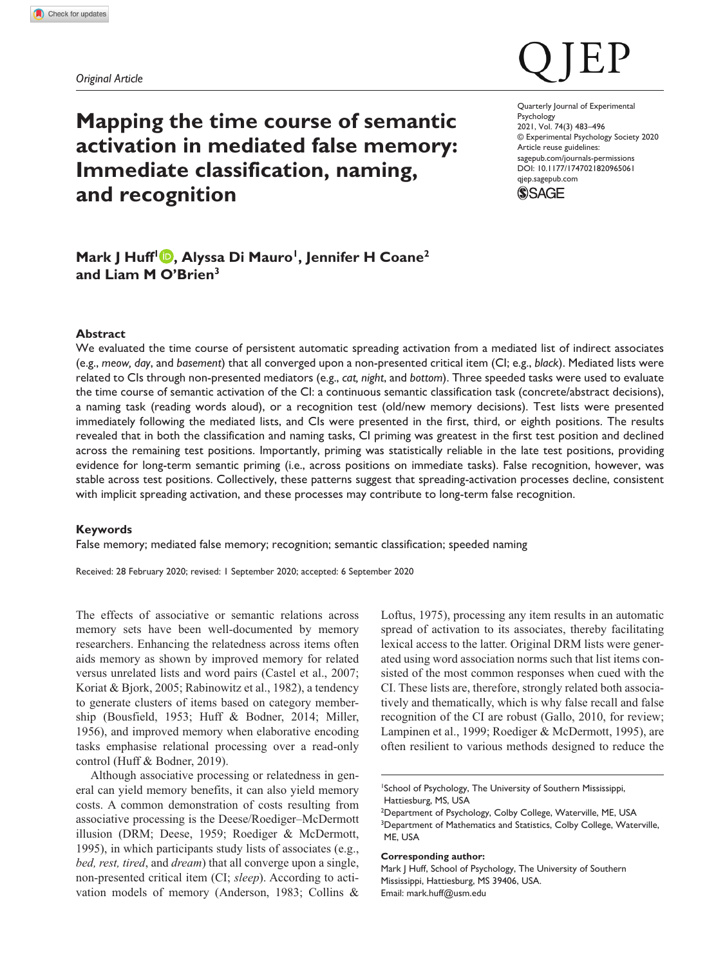*Original Article*

# **Mapping the time course of semantic activation in mediated false memory: Immediate classification, naming, and recognition**

DOI: 10.1177/1747021820965061 Quarterly Journal of Experimental Psychology 2021, Vol. 74(3) 483–496 © Experimental Psychology Society 2020 Article reuse guidelines: [sagepub.com/journals-permissions](https://uk.sagepub.com/en-gb/journals-permissions) [qjep.sagepub.com](http://qjep.sagepub.com)



# Mark J Huff<sup>1</sup> **D**, Alyssa Di Mauro<sup>1</sup>, Jennifer H Coane<sup>2</sup> **and Liam M O'Brien3**

# **Abstract**

We evaluated the time course of persistent automatic spreading activation from a mediated list of indirect associates (e.g., *meow, day*, and *basement*) that all converged upon a non-presented critical item (CI; e.g., *black*). Mediated lists were related to CIs through non-presented mediators (e.g., *cat, night*, and *bottom*). Three speeded tasks were used to evaluate the time course of semantic activation of the CI: a continuous semantic classification task (concrete/abstract decisions), a naming task (reading words aloud), or a recognition test (old/new memory decisions). Test lists were presented immediately following the mediated lists, and CIs were presented in the first, third, or eighth positions. The results revealed that in both the classification and naming tasks, CI priming was greatest in the first test position and declined across the remaining test positions. Importantly, priming was statistically reliable in the late test positions, providing evidence for long-term semantic priming (i.e., across positions on immediate tasks). False recognition, however, was stable across test positions. Collectively, these patterns suggest that spreading-activation processes decline, consistent with implicit spreading activation, and these processes may contribute to long-term false recognition.

#### **Keywords**

False memory; mediated false memory; recognition; semantic classification; speeded naming

Received: 28 February 2020; revised: 1 September 2020; accepted: 6 September 2020

The effects of associative or semantic relations across memory sets have been well-documented by memory researchers. Enhancing the relatedness across items often aids memory as shown by improved memory for related versus unrelated lists and word pairs (Castel et al., 2007; Koriat & Bjork, 2005; Rabinowitz et al., 1982), a tendency to generate clusters of items based on category membership (Bousfield, 1953; Huff & Bodner, 2014; Miller, 1956), and improved memory when elaborative encoding tasks emphasise relational processing over a read-only control (Huff & Bodner, 2019).

Although associative processing or relatedness in general can yield memory benefits, it can also yield memory costs. A common demonstration of costs resulting from associative processing is the Deese/Roediger–McDermott illusion (DRM; Deese, 1959; Roediger & McDermott, 1995), in which participants study lists of associates (e.g., *bed, rest, tired*, and *dream*) that all converge upon a single, non-presented critical item (CI; *sleep*). According to activation models of memory (Anderson, 1983; Collins & Loftus, 1975), processing any item results in an automatic spread of activation to its associates, thereby facilitating lexical access to the latter. Original DRM lists were generated using word association norms such that list items consisted of the most common responses when cued with the CI. These lists are, therefore, strongly related both associatively and thematically, which is why false recall and false recognition of the CI are robust (Gallo, 2010, for review; Lampinen et al., 1999; Roediger & McDermott, 1995), are often resilient to various methods designed to reduce the

#### **Corresponding author:**

Mark J Huff, School of Psychology, The University of Southern Mississippi, Hattiesburg, MS 39406, USA. Email: [mark.huff@usm.edu](mailto:mark.huff@usm.edu)

<sup>1</sup> School of Psychology, The University of Southern Mississippi, Hattiesburg, MS, USA

<sup>&</sup>lt;sup>2</sup>Department of Psychology, Colby College, Waterville, ME, USA <sup>3</sup>Department of Mathematics and Statistics, Colby College, Waterville, ME, USA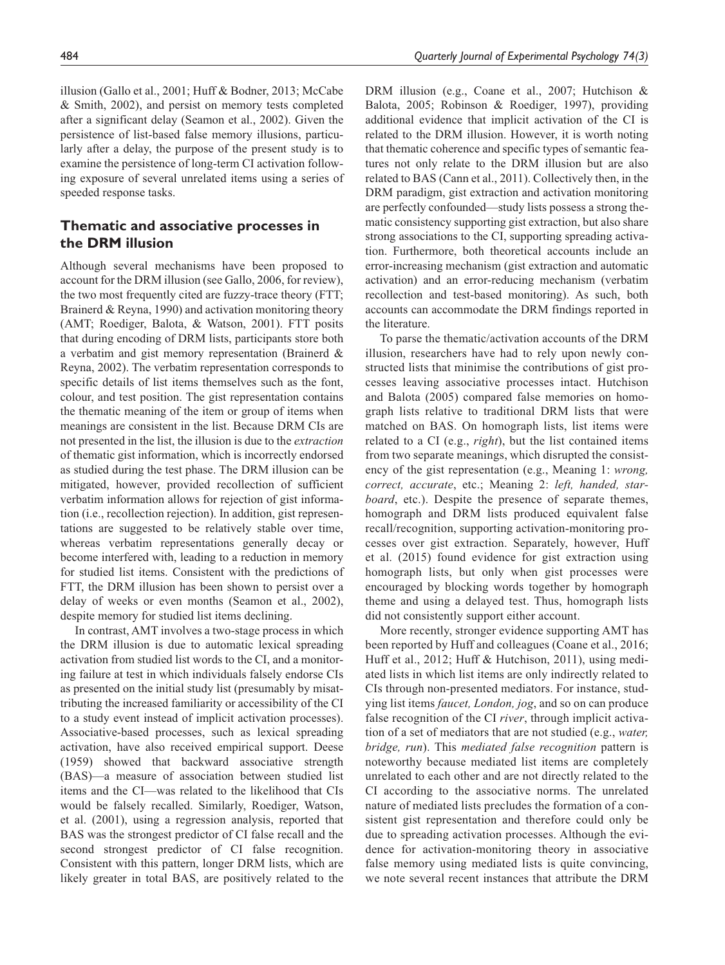illusion (Gallo et al., 2001; Huff & Bodner, 2013; McCabe & Smith, 2002), and persist on memory tests completed after a significant delay (Seamon et al., 2002). Given the persistence of list-based false memory illusions, particularly after a delay, the purpose of the present study is to examine the persistence of long-term CI activation following exposure of several unrelated items using a series of speeded response tasks.

# **Thematic and associative processes in the DRM illusion**

Although several mechanisms have been proposed to account for the DRM illusion (see Gallo, 2006, for review), the two most frequently cited are fuzzy-trace theory (FTT; Brainerd & Reyna, 1990) and activation monitoring theory (AMT; Roediger, Balota, & Watson, 2001). FTT posits that during encoding of DRM lists, participants store both a verbatim and gist memory representation (Brainerd & Reyna, 2002). The verbatim representation corresponds to specific details of list items themselves such as the font, colour, and test position. The gist representation contains the thematic meaning of the item or group of items when meanings are consistent in the list. Because DRM CIs are not presented in the list, the illusion is due to the *extraction* of thematic gist information, which is incorrectly endorsed as studied during the test phase. The DRM illusion can be mitigated, however, provided recollection of sufficient verbatim information allows for rejection of gist information (i.e., recollection rejection). In addition, gist representations are suggested to be relatively stable over time, whereas verbatim representations generally decay or become interfered with, leading to a reduction in memory for studied list items. Consistent with the predictions of FTT, the DRM illusion has been shown to persist over a delay of weeks or even months (Seamon et al., 2002), despite memory for studied list items declining.

In contrast, AMT involves a two-stage process in which the DRM illusion is due to automatic lexical spreading activation from studied list words to the CI, and a monitoring failure at test in which individuals falsely endorse CIs as presented on the initial study list (presumably by misattributing the increased familiarity or accessibility of the CI to a study event instead of implicit activation processes). Associative-based processes, such as lexical spreading activation, have also received empirical support. Deese (1959) showed that backward associative strength (BAS)—a measure of association between studied list items and the CI—was related to the likelihood that CIs would be falsely recalled. Similarly, Roediger, Watson, et al. (2001), using a regression analysis, reported that BAS was the strongest predictor of CI false recall and the second strongest predictor of CI false recognition. Consistent with this pattern, longer DRM lists, which are likely greater in total BAS, are positively related to the

DRM illusion (e.g., Coane et al., 2007; Hutchison & Balota, 2005; Robinson & Roediger, 1997), providing additional evidence that implicit activation of the CI is related to the DRM illusion. However, it is worth noting that thematic coherence and specific types of semantic features not only relate to the DRM illusion but are also related to BAS (Cann et al., 2011). Collectively then, in the DRM paradigm, gist extraction and activation monitoring are perfectly confounded—study lists possess a strong thematic consistency supporting gist extraction, but also share strong associations to the CI, supporting spreading activation. Furthermore, both theoretical accounts include an error-increasing mechanism (gist extraction and automatic activation) and an error-reducing mechanism (verbatim recollection and test-based monitoring). As such, both accounts can accommodate the DRM findings reported in the literature.

To parse the thematic/activation accounts of the DRM illusion, researchers have had to rely upon newly constructed lists that minimise the contributions of gist processes leaving associative processes intact. Hutchison and Balota (2005) compared false memories on homograph lists relative to traditional DRM lists that were matched on BAS. On homograph lists, list items were related to a CI (e.g., *right*), but the list contained items from two separate meanings, which disrupted the consistency of the gist representation (e.g., Meaning 1: *wrong, correct, accurate*, etc.; Meaning 2: *left, handed, starboard*, etc.). Despite the presence of separate themes, homograph and DRM lists produced equivalent false recall/recognition, supporting activation-monitoring processes over gist extraction. Separately, however, Huff et al. (2015) found evidence for gist extraction using homograph lists, but only when gist processes were encouraged by blocking words together by homograph theme and using a delayed test. Thus, homograph lists did not consistently support either account.

More recently, stronger evidence supporting AMT has been reported by Huff and colleagues (Coane et al., 2016; Huff et al., 2012; Huff & Hutchison, 2011), using mediated lists in which list items are only indirectly related to CIs through non-presented mediators. For instance, studying list items *faucet, London, jog*, and so on can produce false recognition of the CI *river*, through implicit activation of a set of mediators that are not studied (e.g., *water, bridge, run*). This *mediated false recognition* pattern is noteworthy because mediated list items are completely unrelated to each other and are not directly related to the CI according to the associative norms. The unrelated nature of mediated lists precludes the formation of a consistent gist representation and therefore could only be due to spreading activation processes. Although the evidence for activation-monitoring theory in associative false memory using mediated lists is quite convincing, we note several recent instances that attribute the DRM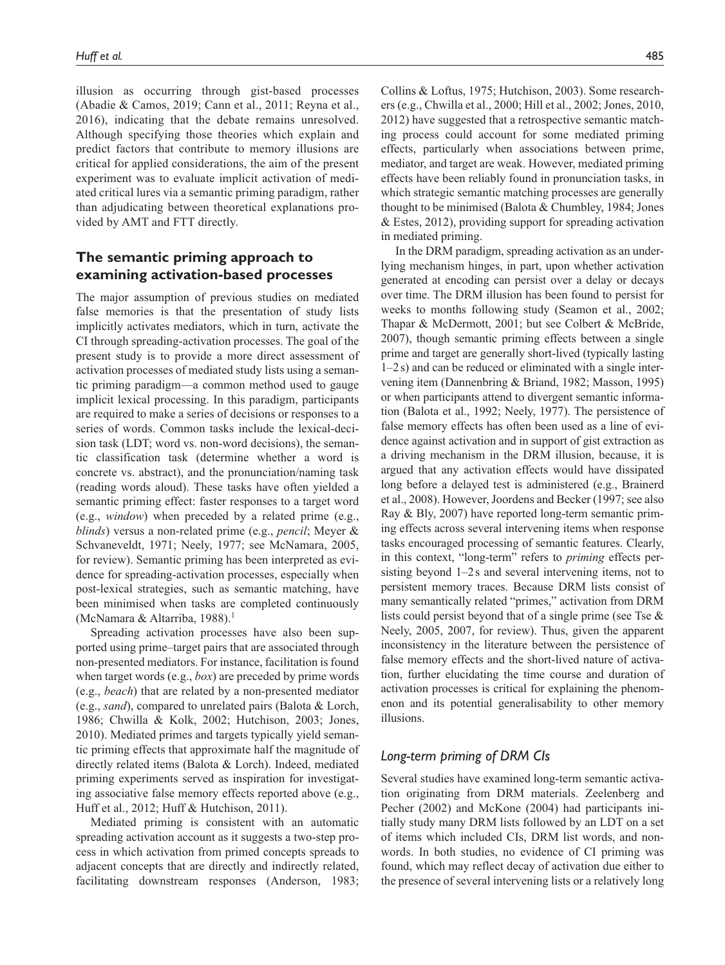illusion as occurring through gist-based processes (Abadie & Camos, 2019; Cann et al., 2011; Reyna et al., 2016), indicating that the debate remains unresolved. Although specifying those theories which explain and predict factors that contribute to memory illusions are critical for applied considerations, the aim of the present experiment was to evaluate implicit activation of mediated critical lures via a semantic priming paradigm, rather than adjudicating between theoretical explanations provided by AMT and FTT directly.

# **The semantic priming approach to examining activation-based processes**

The major assumption of previous studies on mediated false memories is that the presentation of study lists implicitly activates mediators, which in turn, activate the CI through spreading-activation processes. The goal of the present study is to provide a more direct assessment of activation processes of mediated study lists using a semantic priming paradigm—a common method used to gauge implicit lexical processing. In this paradigm, participants are required to make a series of decisions or responses to a series of words. Common tasks include the lexical-decision task (LDT; word vs. non-word decisions), the semantic classification task (determine whether a word is concrete vs. abstract), and the pronunciation/naming task (reading words aloud). These tasks have often yielded a semantic priming effect: faster responses to a target word (e.g., *window*) when preceded by a related prime (e.g., *blinds*) versus a non-related prime (e.g., *pencil*; Meyer & Schvaneveldt, 1971; Neely, 1977; see McNamara, 2005, for review). Semantic priming has been interpreted as evidence for spreading-activation processes, especially when post-lexical strategies, such as semantic matching, have been minimised when tasks are completed continuously (McNamara & Altarriba, 1988).<sup>1</sup>

Spreading activation processes have also been supported using prime–target pairs that are associated through non-presented mediators. For instance, facilitation is found when target words (e.g., *box*) are preceded by prime words (e.g., *beach*) that are related by a non-presented mediator (e.g., *sand*), compared to unrelated pairs (Balota & Lorch, 1986; Chwilla & Kolk, 2002; Hutchison, 2003; Jones, 2010). Mediated primes and targets typically yield semantic priming effects that approximate half the magnitude of directly related items (Balota & Lorch). Indeed, mediated priming experiments served as inspiration for investigating associative false memory effects reported above (e.g., Huff et al., 2012; Huff & Hutchison, 2011).

Mediated priming is consistent with an automatic spreading activation account as it suggests a two-step process in which activation from primed concepts spreads to adjacent concepts that are directly and indirectly related, facilitating downstream responses (Anderson, 1983;

Collins & Loftus, 1975; Hutchison, 2003). Some researchers (e.g., Chwilla et al., 2000; Hill et al., 2002; Jones, 2010, 2012) have suggested that a retrospective semantic matching process could account for some mediated priming effects, particularly when associations between prime, mediator, and target are weak. However, mediated priming effects have been reliably found in pronunciation tasks, in which strategic semantic matching processes are generally thought to be minimised (Balota & Chumbley, 1984; Jones & Estes, 2012), providing support for spreading activation in mediated priming.

In the DRM paradigm, spreading activation as an underlying mechanism hinges, in part, upon whether activation generated at encoding can persist over a delay or decays over time. The DRM illusion has been found to persist for weeks to months following study (Seamon et al., 2002; Thapar & McDermott, 2001; but see Colbert & McBride, 2007), though semantic priming effects between a single prime and target are generally short-lived (typically lasting 1–2s) and can be reduced or eliminated with a single intervening item (Dannenbring & Briand, 1982; Masson, 1995) or when participants attend to divergent semantic information (Balota et al., 1992; Neely, 1977). The persistence of false memory effects has often been used as a line of evidence against activation and in support of gist extraction as a driving mechanism in the DRM illusion, because, it is argued that any activation effects would have dissipated long before a delayed test is administered (e.g., Brainerd et al., 2008). However, Joordens and Becker (1997; see also Ray & Bly, 2007) have reported long-term semantic priming effects across several intervening items when response tasks encouraged processing of semantic features. Clearly, in this context, "long-term" refers to *priming* effects persisting beyond 1–2s and several intervening items, not to persistent memory traces. Because DRM lists consist of many semantically related "primes," activation from DRM lists could persist beyond that of a single prime (see Tse & Neely, 2005, 2007, for review). Thus, given the apparent inconsistency in the literature between the persistence of false memory effects and the short-lived nature of activation, further elucidating the time course and duration of activation processes is critical for explaining the phenomenon and its potential generalisability to other memory illusions.

# *Long-term priming of DRM CIs*

Several studies have examined long-term semantic activation originating from DRM materials. Zeelenberg and Pecher (2002) and McKone (2004) had participants initially study many DRM lists followed by an LDT on a set of items which included CIs, DRM list words, and nonwords. In both studies, no evidence of CI priming was found, which may reflect decay of activation due either to the presence of several intervening lists or a relatively long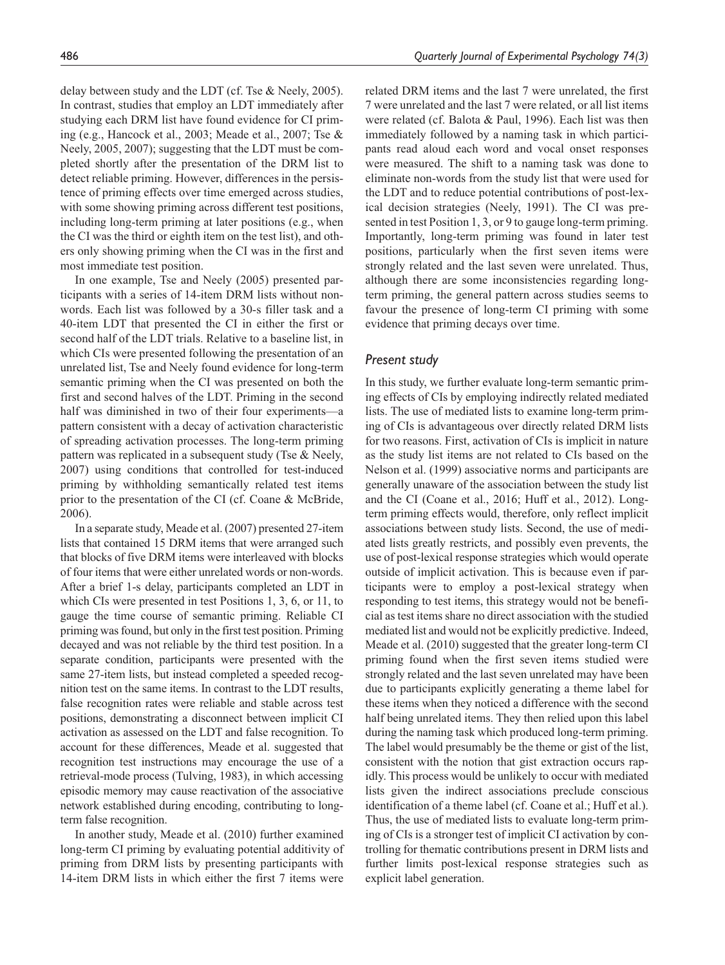delay between study and the LDT (cf. Tse & Neely, 2005). In contrast, studies that employ an LDT immediately after studying each DRM list have found evidence for CI priming (e.g., Hancock et al., 2003; Meade et al., 2007; Tse & Neely, 2005, 2007); suggesting that the LDT must be completed shortly after the presentation of the DRM list to detect reliable priming. However, differences in the persistence of priming effects over time emerged across studies, with some showing priming across different test positions, including long-term priming at later positions (e.g., when the CI was the third or eighth item on the test list), and others only showing priming when the CI was in the first and most immediate test position.

In one example, Tse and Neely (2005) presented participants with a series of 14-item DRM lists without nonwords. Each list was followed by a 30-s filler task and a 40-item LDT that presented the CI in either the first or second half of the LDT trials. Relative to a baseline list, in which CIs were presented following the presentation of an unrelated list, Tse and Neely found evidence for long-term semantic priming when the CI was presented on both the first and second halves of the LDT. Priming in the second half was diminished in two of their four experiments—a pattern consistent with a decay of activation characteristic of spreading activation processes. The long-term priming pattern was replicated in a subsequent study (Tse & Neely, 2007) using conditions that controlled for test-induced priming by withholding semantically related test items prior to the presentation of the CI (cf. Coane & McBride, 2006).

In a separate study, Meade et al. (2007) presented 27-item lists that contained 15 DRM items that were arranged such that blocks of five DRM items were interleaved with blocks of four items that were either unrelated words or non-words. After a brief 1-s delay, participants completed an LDT in which CIs were presented in test Positions 1, 3, 6, or 11, to gauge the time course of semantic priming. Reliable CI priming was found, but only in the first test position. Priming decayed and was not reliable by the third test position. In a separate condition, participants were presented with the same 27-item lists, but instead completed a speeded recognition test on the same items. In contrast to the LDT results, false recognition rates were reliable and stable across test positions, demonstrating a disconnect between implicit CI activation as assessed on the LDT and false recognition. To account for these differences, Meade et al. suggested that recognition test instructions may encourage the use of a retrieval-mode process (Tulving, 1983), in which accessing episodic memory may cause reactivation of the associative network established during encoding, contributing to longterm false recognition.

In another study, Meade et al. (2010) further examined long-term CI priming by evaluating potential additivity of priming from DRM lists by presenting participants with 14-item DRM lists in which either the first 7 items were

related DRM items and the last 7 were unrelated, the first 7 were unrelated and the last 7 were related, or all list items were related (cf. Balota & Paul, 1996). Each list was then immediately followed by a naming task in which participants read aloud each word and vocal onset responses were measured. The shift to a naming task was done to eliminate non-words from the study list that were used for the LDT and to reduce potential contributions of post-lexical decision strategies (Neely, 1991). The CI was presented in test Position 1, 3, or 9 to gauge long-term priming. Importantly, long-term priming was found in later test positions, particularly when the first seven items were strongly related and the last seven were unrelated. Thus, although there are some inconsistencies regarding longterm priming, the general pattern across studies seems to favour the presence of long-term CI priming with some evidence that priming decays over time.

# *Present study*

In this study, we further evaluate long-term semantic priming effects of CIs by employing indirectly related mediated lists. The use of mediated lists to examine long-term priming of CIs is advantageous over directly related DRM lists for two reasons. First, activation of CIs is implicit in nature as the study list items are not related to CIs based on the Nelson et al. (1999) associative norms and participants are generally unaware of the association between the study list and the CI (Coane et al., 2016; Huff et al., 2012). Longterm priming effects would, therefore, only reflect implicit associations between study lists. Second, the use of mediated lists greatly restricts, and possibly even prevents, the use of post-lexical response strategies which would operate outside of implicit activation. This is because even if participants were to employ a post-lexical strategy when responding to test items, this strategy would not be beneficial as test items share no direct association with the studied mediated list and would not be explicitly predictive. Indeed, Meade et al. (2010) suggested that the greater long-term CI priming found when the first seven items studied were strongly related and the last seven unrelated may have been due to participants explicitly generating a theme label for these items when they noticed a difference with the second half being unrelated items. They then relied upon this label during the naming task which produced long-term priming. The label would presumably be the theme or gist of the list, consistent with the notion that gist extraction occurs rapidly. This process would be unlikely to occur with mediated lists given the indirect associations preclude conscious identification of a theme label (cf. Coane et al.; Huff et al.). Thus, the use of mediated lists to evaluate long-term priming of CIs is a stronger test of implicit CI activation by controlling for thematic contributions present in DRM lists and further limits post-lexical response strategies such as explicit label generation.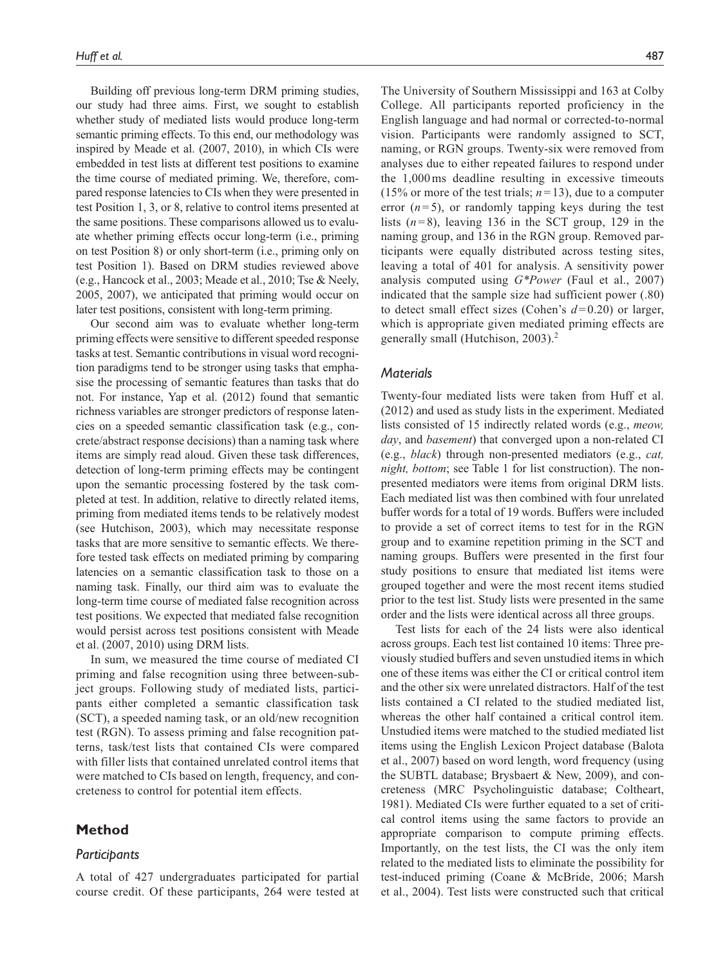Building off previous long-term DRM priming studies, our study had three aims. First, we sought to establish whether study of mediated lists would produce long-term semantic priming effects. To this end, our methodology was inspired by Meade et al. (2007, 2010), in which CIs were embedded in test lists at different test positions to examine the time course of mediated priming. We, therefore, compared response latencies to CIs when they were presented in test Position 1, 3, or 8, relative to control items presented at the same positions. These comparisons allowed us to evaluate whether priming effects occur long-term (i.e., priming on test Position 8) or only short-term (i.e., priming only on test Position 1). Based on DRM studies reviewed above (e.g., Hancock et al., 2003; Meade et al., 2010; Tse & Neely, 2005, 2007), we anticipated that priming would occur on later test positions, consistent with long-term priming.

Our second aim was to evaluate whether long-term priming effects were sensitive to different speeded response tasks at test. Semantic contributions in visual word recognition paradigms tend to be stronger using tasks that emphasise the processing of semantic features than tasks that do not. For instance, Yap et al. (2012) found that semantic richness variables are stronger predictors of response latencies on a speeded semantic classification task (e.g., concrete/abstract response decisions) than a naming task where items are simply read aloud. Given these task differences, detection of long-term priming effects may be contingent upon the semantic processing fostered by the task completed at test. In addition, relative to directly related items, priming from mediated items tends to be relatively modest (see Hutchison, 2003), which may necessitate response tasks that are more sensitive to semantic effects. We therefore tested task effects on mediated priming by comparing latencies on a semantic classification task to those on a naming task. Finally, our third aim was to evaluate the long-term time course of mediated false recognition across test positions. We expected that mediated false recognition would persist across test positions consistent with Meade et al. (2007, 2010) using DRM lists.

In sum, we measured the time course of mediated CI priming and false recognition using three between-subject groups. Following study of mediated lists, participants either completed a semantic classification task (SCT), a speeded naming task, or an old/new recognition test (RGN). To assess priming and false recognition patterns, task/test lists that contained CIs were compared with filler lists that contained unrelated control items that were matched to CIs based on length, frequency, and concreteness to control for potential item effects.

# **Method**

## *Participants*

A total of 427 undergraduates participated for partial course credit. Of these participants, 264 were tested at The University of Southern Mississippi and 163 at Colby College. All participants reported proficiency in the English language and had normal or corrected-to-normal vision. Participants were randomly assigned to SCT, naming, or RGN groups. Twenty-six were removed from analyses due to either repeated failures to respond under the 1,000ms deadline resulting in excessive timeouts (15% or more of the test trials;  $n=13$ ), due to a computer error  $(n=5)$ , or randomly tapping keys during the test lists  $(n=8)$ , leaving 136 in the SCT group, 129 in the naming group, and 136 in the RGN group. Removed participants were equally distributed across testing sites, leaving a total of 401 for analysis. A sensitivity power analysis computed using *G\*Power* (Faul et al., 2007) indicated that the sample size had sufficient power (.80) to detect small effect sizes (Cohen's  $d=0.20$ ) or larger, which is appropriate given mediated priming effects are generally small (Hutchison, 2003).<sup>2</sup>

# *Materials*

Twenty-four mediated lists were taken from Huff et al. (2012) and used as study lists in the experiment. Mediated lists consisted of 15 indirectly related words (e.g., *meow, day*, and *basement*) that converged upon a non-related CI (e.g., *black*) through non-presented mediators (e.g., *cat, night, bottom*; see Table 1 for list construction). The nonpresented mediators were items from original DRM lists. Each mediated list was then combined with four unrelated buffer words for a total of 19 words. Buffers were included to provide a set of correct items to test for in the RGN group and to examine repetition priming in the SCT and naming groups. Buffers were presented in the first four study positions to ensure that mediated list items were grouped together and were the most recent items studied prior to the test list. Study lists were presented in the same order and the lists were identical across all three groups.

Test lists for each of the 24 lists were also identical across groups. Each test list contained 10 items: Three previously studied buffers and seven unstudied items in which one of these items was either the CI or critical control item and the other six were unrelated distractors. Half of the test lists contained a CI related to the studied mediated list, whereas the other half contained a critical control item. Unstudied items were matched to the studied mediated list items using the English Lexicon Project database (Balota et al., 2007) based on word length, word frequency (using the SUBTL database; Brysbaert & New, 2009), and concreteness (MRC Psycholinguistic database; Coltheart, 1981). Mediated CIs were further equated to a set of critical control items using the same factors to provide an appropriate comparison to compute priming effects. Importantly, on the test lists, the CI was the only item related to the mediated lists to eliminate the possibility for test-induced priming (Coane & McBride, 2006; Marsh et al., 2004). Test lists were constructed such that critical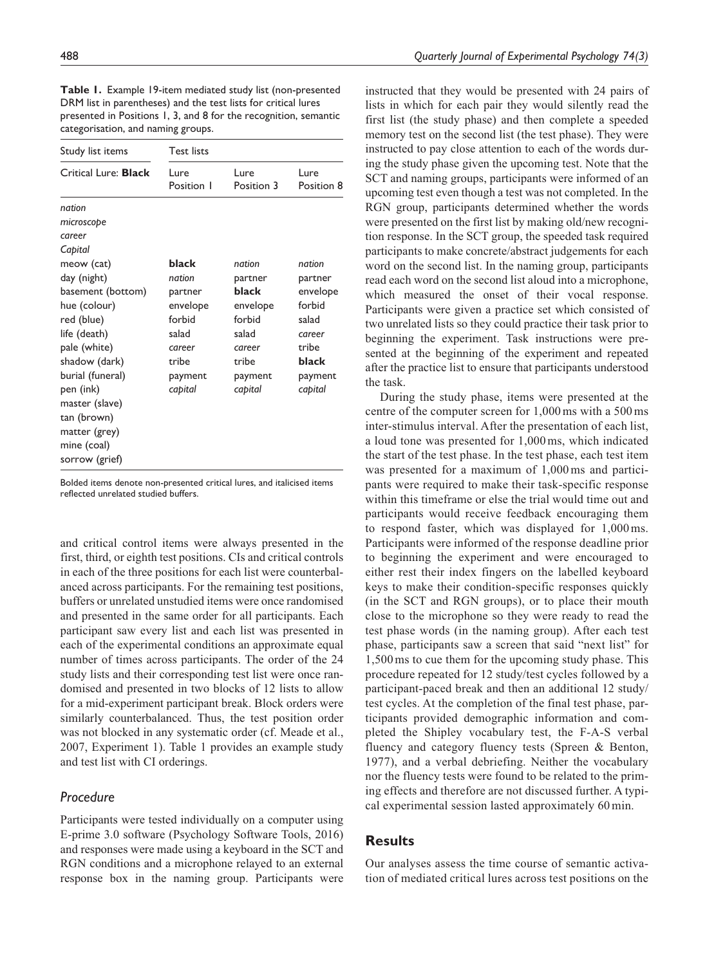**Table 1.** Example 19-item mediated study list (non-presented DRM list in parentheses) and the test lists for critical lures presented in Positions 1, 3, and 8 for the recognition, semantic categorisation, and naming groups.

| Study list items                                                                                                                                                                                                                                             | <b>Test lists</b>                                                                                  |                                                                                                    |                                                                                                    |
|--------------------------------------------------------------------------------------------------------------------------------------------------------------------------------------------------------------------------------------------------------------|----------------------------------------------------------------------------------------------------|----------------------------------------------------------------------------------------------------|----------------------------------------------------------------------------------------------------|
| Critical Lure: <b>Black</b>                                                                                                                                                                                                                                  | Lure<br>Position I                                                                                 | Lure<br>Position 3                                                                                 | Lure<br>Position 8                                                                                 |
| nation<br>microscope<br>career                                                                                                                                                                                                                               |                                                                                                    |                                                                                                    |                                                                                                    |
| Capital<br>meow (cat)<br>day (night)<br>basement (bottom)<br>hue (colour)<br>red (blue)<br>life (death)<br>pale (white)<br>shadow (dark)<br>burial (funeral)<br>pen (ink)<br>master (slave)<br>tan (brown)<br>matter (grey)<br>mine (coal)<br>sorrow (grief) | black<br>nation<br>partner<br>envelope<br>forbid<br>salad<br>career<br>tribe<br>payment<br>capital | nation<br>partner<br>black<br>envelope<br>forbid<br>salad<br>career<br>tribe<br>payment<br>capital | nation<br>partner<br>envelope<br>forbid<br>salad<br>career<br>tribe<br>black<br>payment<br>capital |

Bolded items denote non-presented critical lures, and italicised items reflected unrelated studied buffers.

and critical control items were always presented in the first, third, or eighth test positions. CIs and critical controls in each of the three positions for each list were counterbalanced across participants. For the remaining test positions, buffers or unrelated unstudied items were once randomised and presented in the same order for all participants. Each participant saw every list and each list was presented in each of the experimental conditions an approximate equal number of times across participants. The order of the 24 study lists and their corresponding test list were once randomised and presented in two blocks of 12 lists to allow for a mid-experiment participant break. Block orders were similarly counterbalanced. Thus, the test position order was not blocked in any systematic order (cf. Meade et al., 2007, Experiment 1). Table 1 provides an example study and test list with CI orderings.

## *Procedure*

Participants were tested individually on a computer using E-prime 3.0 software (Psychology Software Tools, 2016) and responses were made using a keyboard in the SCT and RGN conditions and a microphone relayed to an external response box in the naming group. Participants were

instructed that they would be presented with 24 pairs of lists in which for each pair they would silently read the first list (the study phase) and then complete a speeded memory test on the second list (the test phase). They were instructed to pay close attention to each of the words during the study phase given the upcoming test. Note that the SCT and naming groups, participants were informed of an upcoming test even though a test was not completed. In the RGN group, participants determined whether the words were presented on the first list by making old/new recognition response. In the SCT group, the speeded task required participants to make concrete/abstract judgements for each word on the second list. In the naming group, participants read each word on the second list aloud into a microphone, which measured the onset of their vocal response. Participants were given a practice set which consisted of two unrelated lists so they could practice their task prior to beginning the experiment. Task instructions were presented at the beginning of the experiment and repeated after the practice list to ensure that participants understood the task.

During the study phase, items were presented at the centre of the computer screen for 1,000ms with a 500ms inter-stimulus interval. After the presentation of each list, a loud tone was presented for 1,000ms, which indicated the start of the test phase. In the test phase, each test item was presented for a maximum of 1,000 ms and participants were required to make their task-specific response within this timeframe or else the trial would time out and participants would receive feedback encouraging them to respond faster, which was displayed for 1,000ms. Participants were informed of the response deadline prior to beginning the experiment and were encouraged to either rest their index fingers on the labelled keyboard keys to make their condition-specific responses quickly (in the SCT and RGN groups), or to place their mouth close to the microphone so they were ready to read the test phase words (in the naming group). After each test phase, participants saw a screen that said "next list" for 1,500ms to cue them for the upcoming study phase. This procedure repeated for 12 study/test cycles followed by a participant-paced break and then an additional 12 study/ test cycles. At the completion of the final test phase, participants provided demographic information and completed the Shipley vocabulary test, the F-A-S verbal fluency and category fluency tests (Spreen & Benton, 1977), and a verbal debriefing. Neither the vocabulary nor the fluency tests were found to be related to the priming effects and therefore are not discussed further. A typical experimental session lasted approximately 60min.

# **Results**

Our analyses assess the time course of semantic activation of mediated critical lures across test positions on the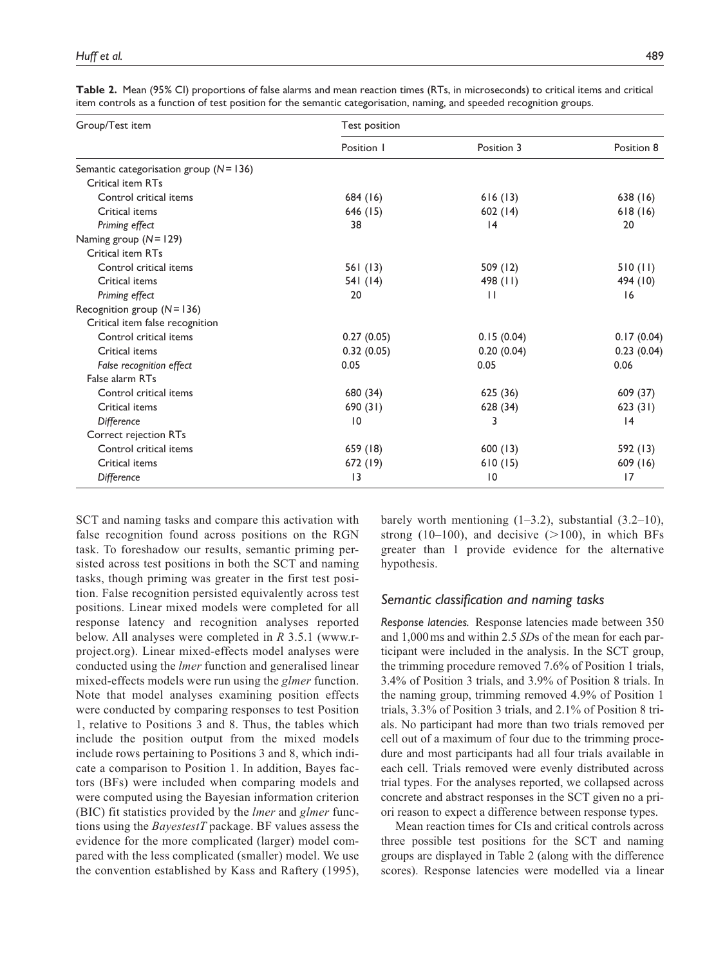| Group/Test item                             | Test position   |                 |            |  |  |
|---------------------------------------------|-----------------|-----------------|------------|--|--|
|                                             | Position 1      | Position 3      | Position 8 |  |  |
| Semantic categorisation group ( $N = 136$ ) |                 |                 |            |  |  |
| Critical item RTs                           |                 |                 |            |  |  |
| Control critical items                      | 684 (16)        | 616(13)         | 638 (16)   |  |  |
| Critical items                              | 646 (15)        | 602(14)         | 618(16)    |  |  |
| Priming effect                              | 38              | 4               | 20         |  |  |
| Naming group $(N = 129)$                    |                 |                 |            |  |  |
| Critical item RTs                           |                 |                 |            |  |  |
| Control critical items                      | 561 (13)        | 509 (12)        | 510(11)    |  |  |
| Critical items                              | 541 (14)        | 498 $(11)$      | 494 (10)   |  |  |
| Priming effect                              | 20              | $\perp$         | 16         |  |  |
| Recognition group $(N = 136)$               |                 |                 |            |  |  |
| Critical item false recognition             |                 |                 |            |  |  |
| Control critical items                      | 0.27(0.05)      | 0.15(0.04)      | 0.17(0.04) |  |  |
| Critical items                              | 0.32(0.05)      | 0.20(0.04)      | 0.23(0.04) |  |  |
| False recognition effect                    | 0.05            | 0.05            | 0.06       |  |  |
| False alarm RTs                             |                 |                 |            |  |  |
| Control critical items                      | 680 (34)        | 625 (36)        | 609 (37)   |  |  |
| Critical items                              | 690(31)         | 628 (34)        | 623(31)    |  |  |
| <b>Difference</b>                           | $\overline{10}$ | 3               | 4          |  |  |
| Correct rejection RTs                       |                 |                 |            |  |  |
| Control critical items                      | 659 (18)        | 600(13)         | 592 (13)   |  |  |
| Critical items                              | 672 (19)        | 610(15)         | 609 (16)   |  |  |
| Difference                                  | 13              | $\overline{10}$ | 17         |  |  |

**Table 2.** Mean (95% CI) proportions of false alarms and mean reaction times (RTs, in microseconds) to critical items and critical item controls as a function of test position for the semantic categorisation, naming, and speeded recognition groups.

SCT and naming tasks and compare this activation with false recognition found across positions on the RGN task. To foreshadow our results, semantic priming persisted across test positions in both the SCT and naming tasks, though priming was greater in the first test position. False recognition persisted equivalently across test positions. Linear mixed models were completed for all response latency and recognition analyses reported below. All analyses were completed in *R* 3.5.1 [\(www.r](www.r-project.org)[project.org](www.r-project.org)). Linear mixed-effects model analyses were conducted using the *lmer* function and generalised linear mixed-effects models were run using the *glmer* function. Note that model analyses examining position effects were conducted by comparing responses to test Position 1, relative to Positions 3 and 8. Thus, the tables which include the position output from the mixed models include rows pertaining to Positions 3 and 8, which indicate a comparison to Position 1. In addition, Bayes factors (BFs) were included when comparing models and were computed using the Bayesian information criterion (BIC) fit statistics provided by the *lmer* and *glmer* functions using the *BayestestT* package. BF values assess the evidence for the more complicated (larger) model compared with the less complicated (smaller) model. We use the convention established by Kass and Raftery (1995),

barely worth mentioning  $(1-3.2)$ , substantial  $(3.2-10)$ , strong (10–100), and decisive  $(>100)$ , in which BFs greater than 1 provide evidence for the alternative hypothesis.

# *Semantic classification and naming tasks*

*Response latencies.* Response latencies made between 350 and 1,000ms and within 2.5 *SD*s of the mean for each participant were included in the analysis. In the SCT group, the trimming procedure removed 7.6% of Position 1 trials, 3.4% of Position 3 trials, and 3.9% of Position 8 trials. In the naming group, trimming removed 4.9% of Position 1 trials, 3.3% of Position 3 trials, and 2.1% of Position 8 trials. No participant had more than two trials removed per cell out of a maximum of four due to the trimming procedure and most participants had all four trials available in each cell. Trials removed were evenly distributed across trial types. For the analyses reported, we collapsed across concrete and abstract responses in the SCT given no a priori reason to expect a difference between response types.

Mean reaction times for CIs and critical controls across three possible test positions for the SCT and naming groups are displayed in Table 2 (along with the difference scores). Response latencies were modelled via a linear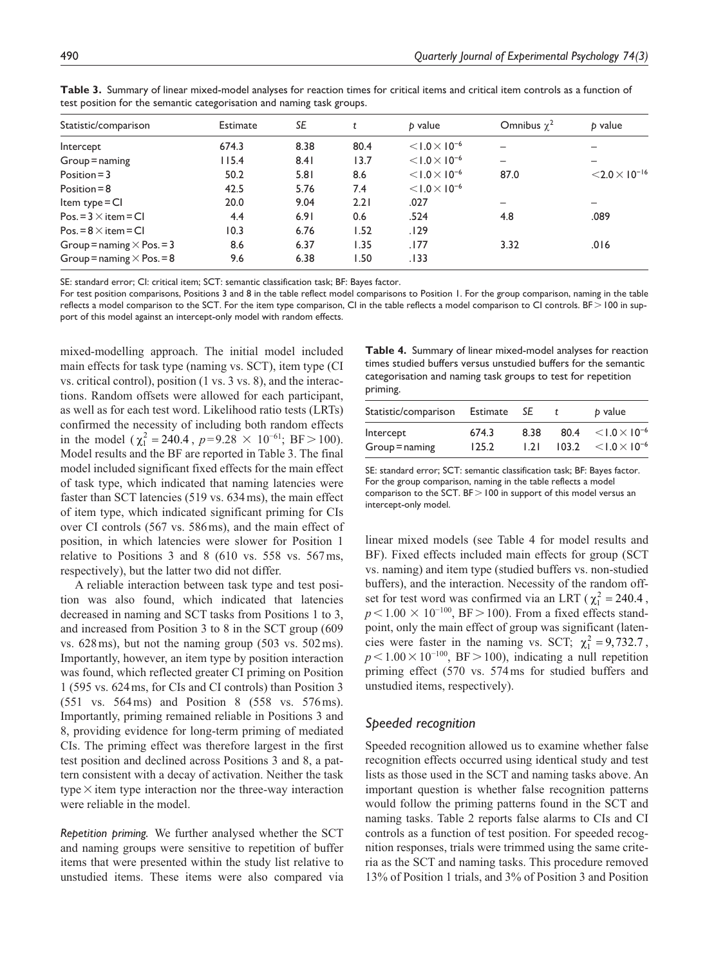| Statistic/comparison             | Estimate | SE   | t    | b value                | Omnibus $\gamma^2$       | b value                            |
|----------------------------------|----------|------|------|------------------------|--------------------------|------------------------------------|
| Intercept                        | 674.3    | 8.38 | 80.4 | $< 1.0 \times 10^{-6}$ |                          |                                    |
| $Group = naming$                 | 115.4    | 8.41 | 13.7 | $< 1.0 \times 10^{-6}$ | $\overline{\phantom{0}}$ |                                    |
| Position $=$ 3                   | 50.2     | 5.81 | 8.6  | $< 1.0 \times 10^{-6}$ | 87.0                     | $<$ 2.0 $\times$ 10 <sup>-16</sup> |
| Position $= 8$                   | 42.5     | 5.76 | 7.4  | $< 1.0 \times 10^{-6}$ |                          |                                    |
| Item type $=$ CI                 | 20.0     | 9.04 | 2.21 | .027                   | $\overline{\phantom{0}}$ |                                    |
| $Pos.=3\times item=CI$           | 4.4      | 6.91 | 0.6  | .524                   | 4.8                      | .089                               |
| $Pos = 8 \times item = CI$       | 10.3     | 6.76 | 1.52 | .129                   |                          |                                    |
| Group = naming $\times$ Pos. = 3 | 8.6      | 6.37 | 1.35 | .177                   | 3.32                     | .016                               |
| Group = naming $\times$ Pos. = 8 | 9.6      | 6.38 | 1.50 | .133                   |                          |                                    |

**Table 3.** Summary of linear mixed-model analyses for reaction times for critical items and critical item controls as a function of test position for the semantic categorisation and naming task groups.

SE: standard error; CI: critical item; SCT: semantic classification task; BF: Bayes factor.

For test position comparisons, Positions 3 and 8 in the table reflect model comparisons to Position 1. For the group comparison, naming in the table reflects a model comparison to the SCT. For the item type comparison, CI in the table reflects a model comparison to CI controls. BF > 100 in support of this model against an intercept-only model with random effects.

mixed-modelling approach. The initial model included main effects for task type (naming vs. SCT), item type (CI vs. critical control), position (1 vs. 3 vs. 8), and the interactions. Random offsets were allowed for each participant, as well as for each test word. Likelihood ratio tests (LRTs) confirmed the necessity of including both random effects in the model ( $\chi_1^2 = 240.4$ ,  $p=9.28 \times 10^{-61}$ ; BF > 100). Model results and the BF are reported in Table 3. The final model included significant fixed effects for the main effect of task type, which indicated that naming latencies were faster than SCT latencies (519 vs. 634ms), the main effect of item type, which indicated significant priming for CIs over CI controls (567 vs. 586ms), and the main effect of position, in which latencies were slower for Position 1 relative to Positions 3 and 8 (610 vs. 558 vs. 567ms, respectively), but the latter two did not differ.

A reliable interaction between task type and test position was also found, which indicated that latencies decreased in naming and SCT tasks from Positions 1 to 3, and increased from Position 3 to 8 in the SCT group (609 vs. 628ms), but not the naming group (503 vs. 502ms). Importantly, however, an item type by position interaction was found, which reflected greater CI priming on Position 1 (595 vs. 624ms, for CIs and CI controls) than Position 3 (551 vs. 564ms) and Position 8 (558 vs. 576ms). Importantly, priming remained reliable in Positions 3 and 8, providing evidence for long-term priming of mediated CIs. The priming effect was therefore largest in the first test position and declined across Positions 3 and 8, a pattern consistent with a decay of activation. Neither the task type  $\times$  item type interaction nor the three-way interaction were reliable in the model.

*Repetition priming.* We further analysed whether the SCT and naming groups were sensitive to repetition of buffer items that were presented within the study list relative to unstudied items. These items were also compared via

**Table 4.** Summary of linear mixed-model analyses for reaction times studied buffers versus unstudied buffers for the semantic categorisation and naming task groups to test for repetition priming.

| Statistic/comparison Estimate |       | SE.  |       | b value                |
|-------------------------------|-------|------|-------|------------------------|
| Intercept                     | 674.3 | 8.38 | 80.4  | $< 1.0 \times 10^{-6}$ |
| $Group = naming$              | 125.2 | 1.21 | 103.2 | $< 1.0 \times 10^{-6}$ |

SE: standard error; SCT: semantic classification task; BF: Bayes factor. For the group comparison, naming in the table reflects a model comparison to the SCT. BF>100 in support of this model versus an intercept-only model.

linear mixed models (see Table 4 for model results and BF). Fixed effects included main effects for group (SCT vs. naming) and item type (studied buffers vs. non-studied buffers), and the interaction. Necessity of the random offset for test word was confirmed via an LRT ( $\chi_1^2 = 240.4$ ,  $p < 1.00 \times 10^{-100}$ , BF > 100). From a fixed effects standpoint, only the main effect of group was significant (latencies were faster in the naming vs. SCT;  $\chi_1^2 = 9,732.7$ ,  $p < 1.00 \times 10^{-100}$ , BF > 100), indicating a null repetition priming effect (570 vs. 574ms for studied buffers and unstudied items, respectively).

# *Speeded recognition*

Speeded recognition allowed us to examine whether false recognition effects occurred using identical study and test lists as those used in the SCT and naming tasks above. An important question is whether false recognition patterns would follow the priming patterns found in the SCT and naming tasks. Table 2 reports false alarms to CIs and CI controls as a function of test position. For speeded recognition responses, trials were trimmed using the same criteria as the SCT and naming tasks. This procedure removed 13% of Position 1 trials, and 3% of Position 3 and Position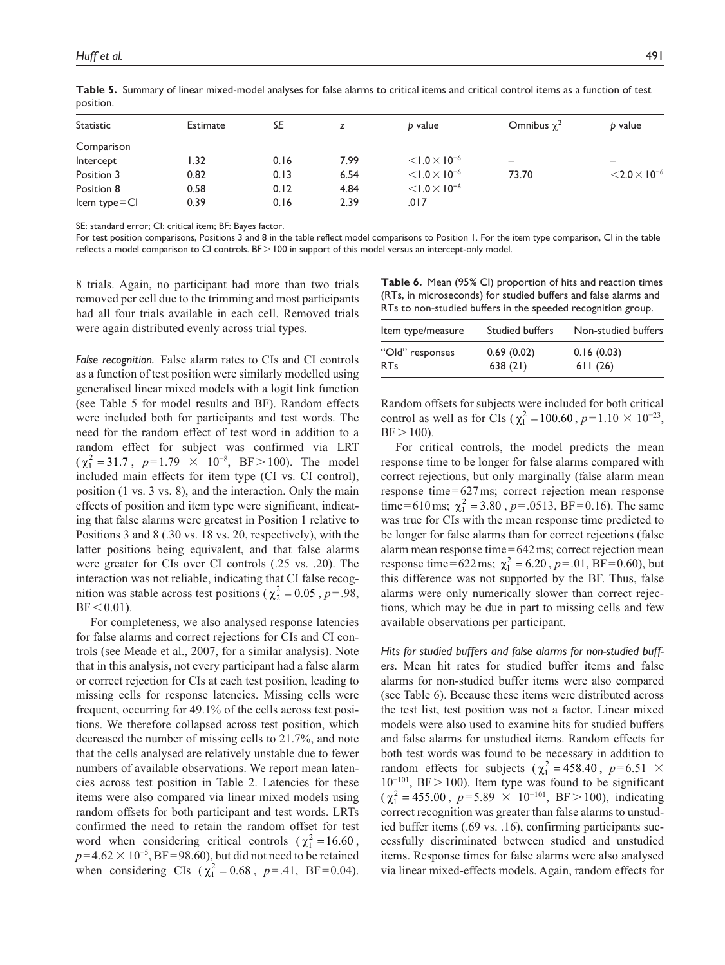| <b>Statistic</b> | Estimate | SE   | z    | b value                | Omnibus $\chi^2$ | b value                |
|------------------|----------|------|------|------------------------|------------------|------------------------|
| Comparison       |          |      |      |                        |                  |                        |
| Intercept        | 1.32     | 0.16 | 7.99 | $< 1.0 \times 10^{-6}$ | -                |                        |
| Position 3       | 0.82     | 0.13 | 6.54 | $< 1.0 \times 10^{-6}$ | 73.70            | $< 2.0 \times 10^{-6}$ |
| Position 8       | 0.58     | 0.12 | 4.84 | $< 1.0 \times 10^{-6}$ |                  |                        |
| Item type $=$ CI | 0.39     | 0.16 | 2.39 | .017                   |                  |                        |

**Table 5.** Summary of linear mixed-model analyses for false alarms to critical items and critical control items as a function of test position.

SE: standard error; CI: critical item; BF: Bayes factor.

For test position comparisons, Positions 3 and 8 in the table reflect model comparisons to Position 1. For the item type comparison, CI in the table reflects a model comparison to CI controls. BF > 100 in support of this model versus an intercept-only model.

8 trials. Again, no participant had more than two trials removed per cell due to the trimming and most participants had all four trials available in each cell. Removed trials were again distributed evenly across trial types.

*False recognition.* False alarm rates to CIs and CI controls as a function of test position were similarly modelled using generalised linear mixed models with a logit link function (see Table 5 for model results and BF). Random effects were included both for participants and test words. The need for the random effect of test word in addition to a random effect for subject was confirmed via LRT  $(\chi_1^2 = 31.7, p=1.79 \times 10^{-8}, BF > 100)$ . The model included main effects for item type (CI vs. CI control), position (1 vs. 3 vs. 8), and the interaction. Only the main effects of position and item type were significant, indicating that false alarms were greatest in Position 1 relative to Positions 3 and 8 (.30 vs. 18 vs. 20, respectively), with the latter positions being equivalent, and that false alarms were greater for CIs over CI controls (.25 vs. .20). The interaction was not reliable, indicating that CI false recognition was stable across test positions ( $\chi^2$  = 0.05, *p*=.98,  $BF < 0.01$ ).

For completeness, we also analysed response latencies for false alarms and correct rejections for CIs and CI controls (see Meade et al., 2007, for a similar analysis). Note that in this analysis, not every participant had a false alarm or correct rejection for CIs at each test position, leading to missing cells for response latencies. Missing cells were frequent, occurring for 49.1% of the cells across test positions. We therefore collapsed across test position, which decreased the number of missing cells to 21.7%, and note that the cells analysed are relatively unstable due to fewer numbers of available observations. We report mean latencies across test position in Table 2. Latencies for these items were also compared via linear mixed models using random offsets for both participant and test words. LRTs confirmed the need to retain the random offset for test word when considering critical controls ( $\chi_1^2 = 16.60$ ,  $p=4.62 \times 10^{-5}$ , BF=98.60), but did not need to be retained when considering CIs ( $\chi_1^2 = 0.68$ ,  $p = .41$ , BF=0.04).

| <b>Table 6.</b> Mean (95% CI) proportion of hits and reaction times |
|---------------------------------------------------------------------|
| (RTs, in microseconds) for studied buffers and false alarms and     |
| RTs to non-studied buffers in the speeded recognition group.        |

| Item type/measure | <b>Studied buffers</b> | Non-studied buffers |
|-------------------|------------------------|---------------------|
| "Old" responses   | 0.69(0.02)             | 0.16(0.03)          |
| <b>RTs</b>        | 638(21)                | 611(26)             |

Random offsets for subjects were included for both critical control as well as for CIs ( $\chi_1^2 = 100.60$ ,  $p = 1.10 \times 10^{-23}$ ,  $BF > 100$ ).

For critical controls, the model predicts the mean response time to be longer for false alarms compared with correct rejections, but only marginally (false alarm mean response time=627ms; correct rejection mean response time=610 ms;  $\chi_1^2 = 3.80$ ,  $p = .0513$ , BF=0.16). The same was true for CIs with the mean response time predicted to be longer for false alarms than for correct rejections (false alarm mean response time=642ms; correct rejection mean response time=622 ms;  $\chi_1^2 = 6.20$ ,  $p = .01$ , BF=0.60), but this difference was not supported by the BF. Thus, false alarms were only numerically slower than correct rejections, which may be due in part to missing cells and few available observations per participant.

*Hits for studied buffers and false alarms for non-studied buffers.* Mean hit rates for studied buffer items and false alarms for non-studied buffer items were also compared (see Table 6). Because these items were distributed across the test list, test position was not a factor. Linear mixed models were also used to examine hits for studied buffers and false alarms for unstudied items. Random effects for both test words was found to be necessary in addition to random effects for subjects ( $\chi_1^2 = 458.40$ ,  $p=6.51 \times$ 10−101, BF>100). Item type was found to be significant  $(\chi_1^2 = 455.00, p=5.89 \times 10^{-101}, BF > 100)$ , indicating correct recognition was greater than false alarms to unstudied buffer items (.69 vs. .16), confirming participants successfully discriminated between studied and unstudied items. Response times for false alarms were also analysed via linear mixed-effects models. Again, random effects for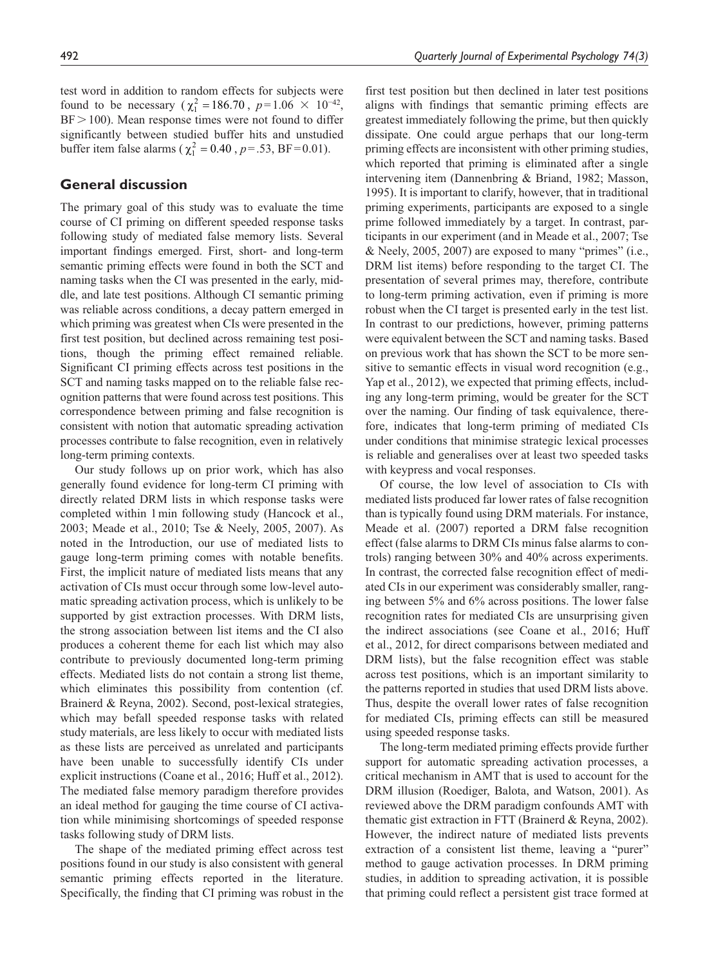test word in addition to random effects for subjects were found to be necessary ( $\chi_1^2 = 186.70$ ,  $p = 1.06 \times 10^{-42}$ ,  $BF > 100$ ). Mean response times were not found to differ significantly between studied buffer hits and unstudied buffer item false alarms ( $\chi_1^2 = 0.40$ ,  $p = .53$ , BF=0.01).

# **General discussion**

The primary goal of this study was to evaluate the time course of CI priming on different speeded response tasks following study of mediated false memory lists. Several important findings emerged. First, short- and long-term semantic priming effects were found in both the SCT and naming tasks when the CI was presented in the early, middle, and late test positions. Although CI semantic priming was reliable across conditions, a decay pattern emerged in which priming was greatest when CIs were presented in the first test position, but declined across remaining test positions, though the priming effect remained reliable. Significant CI priming effects across test positions in the SCT and naming tasks mapped on to the reliable false recognition patterns that were found across test positions. This correspondence between priming and false recognition is consistent with notion that automatic spreading activation processes contribute to false recognition, even in relatively long-term priming contexts.

Our study follows up on prior work, which has also generally found evidence for long-term CI priming with directly related DRM lists in which response tasks were completed within 1min following study (Hancock et al., 2003; Meade et al., 2010; Tse & Neely, 2005, 2007). As noted in the Introduction, our use of mediated lists to gauge long-term priming comes with notable benefits. First, the implicit nature of mediated lists means that any activation of CIs must occur through some low-level automatic spreading activation process, which is unlikely to be supported by gist extraction processes. With DRM lists, the strong association between list items and the CI also produces a coherent theme for each list which may also contribute to previously documented long-term priming effects. Mediated lists do not contain a strong list theme, which eliminates this possibility from contention (cf. Brainerd & Reyna, 2002). Second, post-lexical strategies, which may befall speeded response tasks with related study materials, are less likely to occur with mediated lists as these lists are perceived as unrelated and participants have been unable to successfully identify CIs under explicit instructions (Coane et al., 2016; Huff et al., 2012). The mediated false memory paradigm therefore provides an ideal method for gauging the time course of CI activation while minimising shortcomings of speeded response tasks following study of DRM lists.

The shape of the mediated priming effect across test positions found in our study is also consistent with general semantic priming effects reported in the literature. Specifically, the finding that CI priming was robust in the first test position but then declined in later test positions aligns with findings that semantic priming effects are greatest immediately following the prime, but then quickly dissipate. One could argue perhaps that our long-term priming effects are inconsistent with other priming studies, which reported that priming is eliminated after a single intervening item (Dannenbring & Briand, 1982; Masson, 1995). It is important to clarify, however, that in traditional priming experiments, participants are exposed to a single prime followed immediately by a target. In contrast, participants in our experiment (and in Meade et al., 2007; Tse & Neely, 2005, 2007) are exposed to many "primes" (i.e., DRM list items) before responding to the target CI. The presentation of several primes may, therefore, contribute to long-term priming activation, even if priming is more robust when the CI target is presented early in the test list. In contrast to our predictions, however, priming patterns were equivalent between the SCT and naming tasks. Based on previous work that has shown the SCT to be more sensitive to semantic effects in visual word recognition (e.g., Yap et al., 2012), we expected that priming effects, including any long-term priming, would be greater for the SCT over the naming. Our finding of task equivalence, therefore, indicates that long-term priming of mediated CIs under conditions that minimise strategic lexical processes is reliable and generalises over at least two speeded tasks with keypress and vocal responses.

Of course, the low level of association to CIs with mediated lists produced far lower rates of false recognition than is typically found using DRM materials. For instance, Meade et al. (2007) reported a DRM false recognition effect (false alarms to DRM CIs minus false alarms to controls) ranging between 30% and 40% across experiments. In contrast, the corrected false recognition effect of mediated CIs in our experiment was considerably smaller, ranging between 5% and 6% across positions. The lower false recognition rates for mediated CIs are unsurprising given the indirect associations (see Coane et al., 2016; Huff et al., 2012, for direct comparisons between mediated and DRM lists), but the false recognition effect was stable across test positions, which is an important similarity to the patterns reported in studies that used DRM lists above. Thus, despite the overall lower rates of false recognition for mediated CIs, priming effects can still be measured using speeded response tasks.

The long-term mediated priming effects provide further support for automatic spreading activation processes, a critical mechanism in AMT that is used to account for the DRM illusion (Roediger, Balota, and Watson, 2001). As reviewed above the DRM paradigm confounds AMT with thematic gist extraction in FTT (Brainerd & Reyna, 2002). However, the indirect nature of mediated lists prevents extraction of a consistent list theme, leaving a "purer" method to gauge activation processes. In DRM priming studies, in addition to spreading activation, it is possible that priming could reflect a persistent gist trace formed at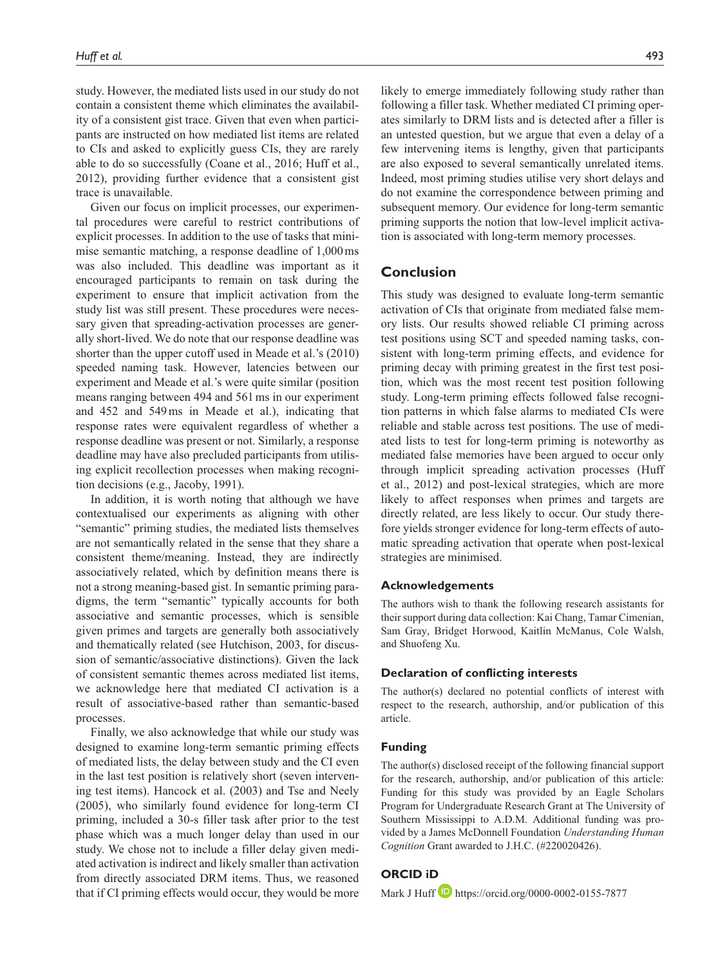study. However, the mediated lists used in our study do not contain a consistent theme which eliminates the availability of a consistent gist trace. Given that even when participants are instructed on how mediated list items are related to CIs and asked to explicitly guess CIs, they are rarely able to do so successfully (Coane et al., 2016; Huff et al., 2012), providing further evidence that a consistent gist trace is unavailable.

Given our focus on implicit processes, our experimental procedures were careful to restrict contributions of explicit processes. In addition to the use of tasks that minimise semantic matching, a response deadline of 1,000ms was also included. This deadline was important as it encouraged participants to remain on task during the experiment to ensure that implicit activation from the study list was still present. These procedures were necessary given that spreading-activation processes are generally short-lived. We do note that our response deadline was shorter than the upper cutoff used in Meade et al.'s (2010) speeded naming task. However, latencies between our experiment and Meade et al.'s were quite similar (position means ranging between 494 and 561ms in our experiment and 452 and 549ms in Meade et al.), indicating that response rates were equivalent regardless of whether a response deadline was present or not. Similarly, a response deadline may have also precluded participants from utilising explicit recollection processes when making recognition decisions (e.g., Jacoby, 1991).

In addition, it is worth noting that although we have contextualised our experiments as aligning with other "semantic" priming studies, the mediated lists themselves are not semantically related in the sense that they share a consistent theme/meaning. Instead, they are indirectly associatively related, which by definition means there is not a strong meaning-based gist. In semantic priming paradigms, the term "semantic" typically accounts for both associative and semantic processes, which is sensible given primes and targets are generally both associatively and thematically related (see Hutchison, 2003, for discussion of semantic/associative distinctions). Given the lack of consistent semantic themes across mediated list items, we acknowledge here that mediated CI activation is a result of associative-based rather than semantic-based processes.

Finally, we also acknowledge that while our study was designed to examine long-term semantic priming effects of mediated lists, the delay between study and the CI even in the last test position is relatively short (seven intervening test items). Hancock et al. (2003) and Tse and Neely (2005), who similarly found evidence for long-term CI priming, included a 30-s filler task after prior to the test phase which was a much longer delay than used in our study. We chose not to include a filler delay given mediated activation is indirect and likely smaller than activation from directly associated DRM items. Thus, we reasoned that if CI priming effects would occur, they would be more

likely to emerge immediately following study rather than following a filler task. Whether mediated CI priming operates similarly to DRM lists and is detected after a filler is an untested question, but we argue that even a delay of a few intervening items is lengthy, given that participants are also exposed to several semantically unrelated items. Indeed, most priming studies utilise very short delays and do not examine the correspondence between priming and subsequent memory. Our evidence for long-term semantic priming supports the notion that low-level implicit activation is associated with long-term memory processes.

# **Conclusion**

This study was designed to evaluate long-term semantic activation of CIs that originate from mediated false memory lists. Our results showed reliable CI priming across test positions using SCT and speeded naming tasks, consistent with long-term priming effects, and evidence for priming decay with priming greatest in the first test position, which was the most recent test position following study. Long-term priming effects followed false recognition patterns in which false alarms to mediated CIs were reliable and stable across test positions. The use of mediated lists to test for long-term priming is noteworthy as mediated false memories have been argued to occur only through implicit spreading activation processes (Huff et al., 2012) and post-lexical strategies, which are more likely to affect responses when primes and targets are directly related, are less likely to occur. Our study therefore yields stronger evidence for long-term effects of automatic spreading activation that operate when post-lexical strategies are minimised.

#### **Acknowledgements**

The authors wish to thank the following research assistants for their support during data collection: Kai Chang, Tamar Cimenian, Sam Gray, Bridget Horwood, Kaitlin McManus, Cole Walsh, and Shuofeng Xu.

#### **Declaration of conflicting interests**

The author(s) declared no potential conflicts of interest with respect to the research, authorship, and/or publication of this article.

#### **Funding**

The author(s) disclosed receipt of the following financial support for the research, authorship, and/or publication of this article: Funding for this study was provided by an Eagle Scholars Program for Undergraduate Research Grant at The University of Southern Mississippi to A.D.M. Additional funding was provided by a James McDonnell Foundation *Understanding Human Cognition* Grant awarded to J.H.C. (#220020426).

# **ORCID iD**

Mark J Huff **D** <https://orcid.org/0000-0002-0155-7877>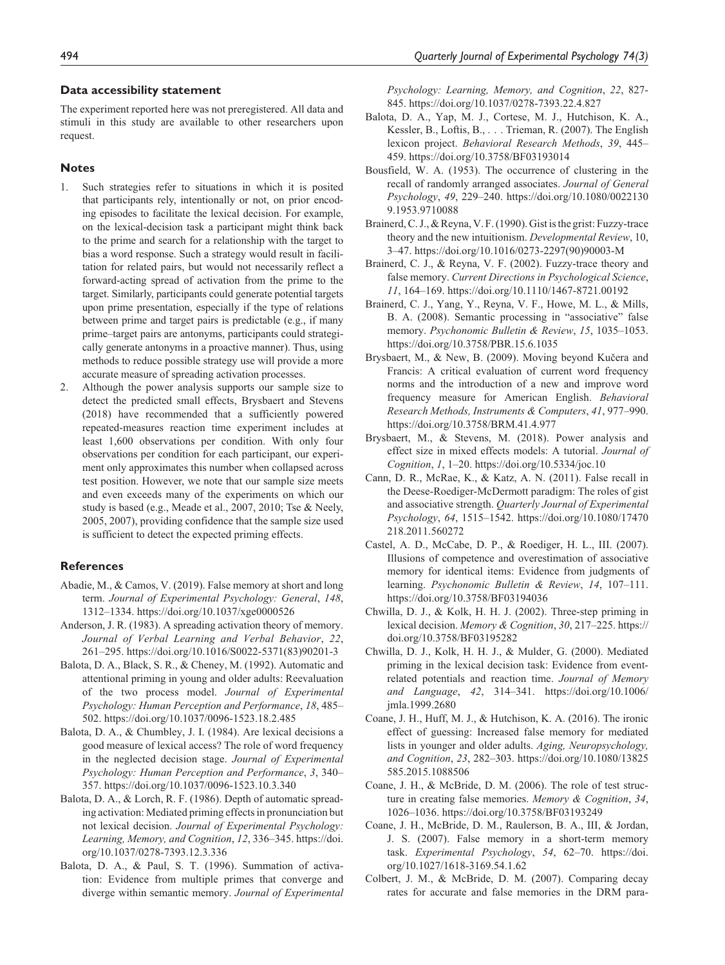#### **Data accessibility statement**

The experiment reported here was not preregistered. All data and stimuli in this study are available to other researchers upon request.

#### **Notes**

- 1. Such strategies refer to situations in which it is posited that participants rely, intentionally or not, on prior encoding episodes to facilitate the lexical decision. For example, on the lexical-decision task a participant might think back to the prime and search for a relationship with the target to bias a word response. Such a strategy would result in facilitation for related pairs, but would not necessarily reflect a forward-acting spread of activation from the prime to the target. Similarly, participants could generate potential targets upon prime presentation, especially if the type of relations between prime and target pairs is predictable (e.g., if many prime–target pairs are antonyms, participants could strategically generate antonyms in a proactive manner). Thus, using methods to reduce possible strategy use will provide a more accurate measure of spreading activation processes.
- 2. Although the power analysis supports our sample size to detect the predicted small effects, Brysbaert and Stevens (2018) have recommended that a sufficiently powered repeated-measures reaction time experiment includes at least 1,600 observations per condition. With only four observations per condition for each participant, our experiment only approximates this number when collapsed across test position. However, we note that our sample size meets and even exceeds many of the experiments on which our study is based (e.g., Meade et al., 2007, 2010; Tse & Neely, 2005, 2007), providing confidence that the sample size used is sufficient to detect the expected priming effects.

## **References**

- Abadie, M., & Camos, V. (2019). False memory at short and long term. *Journal of Experimental Psychology: General*, *148*, 1312–1334. <https://doi.org/10.1037/xge0000526>
- Anderson, J. R. (1983). A spreading activation theory of memory. *Journal of Verbal Learning and Verbal Behavior*, *22*, 261–295. https://doi.org/10.1016/S0022-5371(83)90201-3
- Balota, D. A., Black, S. R., & Cheney, M. (1992). Automatic and attentional priming in young and older adults: Reevaluation of the two process model. *Journal of Experimental Psychology: Human Perception and Performance*, *18*, 485– 502. <https://doi.org/10.1037/0096-1523.18.2.485>
- Balota, D. A., & Chumbley, J. I. (1984). Are lexical decisions a good measure of lexical access? The role of word frequency in the neglected decision stage. *Journal of Experimental Psychology: Human Perception and Performance*, *3*, 340– 357. <https://doi.org/10.1037/0096-1523.10.3.340>
- Balota, D. A., & Lorch, R. F. (1986). Depth of automatic spreading activation: Mediated priming effects in pronunciation but not lexical decision. *Journal of Experimental Psychology: Learning, Memory, and Cognition*, *12*, 336–345. [https://doi.](https://doi.org/10.1037/0278-7393.12.3.336) [org/10.1037/0278-7393.12.3.336](https://doi.org/10.1037/0278-7393.12.3.336)
- Balota, D. A., & Paul, S. T. (1996). Summation of activation: Evidence from multiple primes that converge and diverge within semantic memory. *Journal of Experimental*

*Psychology: Learning, Memory, and Cognition*, *22*, 827- 845.<https://doi.org/10.1037/0278-7393.22.4.827>

- Balota, D. A., Yap, M. J., Cortese, M. J., Hutchison, K. A., Kessler, B., Loftis, B., . . . Trieman, R. (2007). The English lexicon project. *Behavioral Research Methods*, *39*, 445– 459.<https://doi.org/10.3758/BF03193014>
- Bousfield, W. A. (1953). The occurrence of clustering in the recall of randomly arranged associates. *Journal of General Psychology*, *49*, 229–240. [https://doi.org/10.1080/0022130](https://doi.org/10.1080/00221309.1953.9710088) [9.1953.9710088](https://doi.org/10.1080/00221309.1953.9710088)
- Brainerd, C. J., & Reyna, V. F. (1990). Gist is the grist: Fuzzy-trace theory and the new intuitionism. *Developmental Review*, 10, 3–47. [https://doi.org/10.1016/0273-2297\(90\)90003-M](https://doi.org/10.1016/0273-2297(90)90003-M)
- Brainerd, C. J., & Reyna, V. F. (2002). Fuzzy-trace theory and false memory. *Current Directions in Psychological Science*, *11*, 164–169. <https://doi.org/10.1110/1467-8721.00192>
- Brainerd, C. J., Yang, Y., Reyna, V. F., Howe, M. L., & Mills, B. A. (2008). Semantic processing in "associative" false memory. *Psychonomic Bulletin & Review*, *15*, 1035–1053. <https://doi.org/10.3758/PBR.15.6.1035>
- Brysbaert, M., & New, B. (2009). Moving beyond Kučera and Francis: A critical evaluation of current word frequency norms and the introduction of a new and improve word frequency measure for American English. *Behavioral Research Methods, Instruments & Computers*, *41*, 977–990. <https://doi.org/10.3758/BRM.41.4.977>
- Brysbaert, M., & Stevens, M. (2018). Power analysis and effect size in mixed effects models: A tutorial. *Journal of Cognition*, *1*, 1–20.<https://doi.org/10.5334/joc.10>
- Cann, D. R., McRae, K., & Katz, A. N. (2011). False recall in the Deese-Roediger-McDermott paradigm: The roles of gist and associative strength. *Quarterly Journal of Experimental Psychology*, *64*, 1515–1542. [https://doi.org/10.1080/17470](https://doi.org/10.1080/17470218.2011.560272) [218.2011.560272](https://doi.org/10.1080/17470218.2011.560272)
- Castel, A. D., McCabe, D. P., & Roediger, H. L., III. (2007). Illusions of competence and overestimation of associative memory for identical items: Evidence from judgments of learning. *Psychonomic Bulletin & Review*, *14*, 107–111. <https://doi.org/10.3758/BF03194036>
- Chwilla, D. J., & Kolk, H. H. J. (2002). Three-step priming in lexical decision. *Memory & Cognition*, *30*, 217–225. [https://](https://doi.org/10.3758/BF03195282) [doi.org/10.3758/BF03195282](https://doi.org/10.3758/BF03195282)
- Chwilla, D. J., Kolk, H. H. J., & Mulder, G. (2000). Mediated priming in the lexical decision task: Evidence from eventrelated potentials and reaction time. *Journal of Memory and Language*, *42*, 314–341. [https://doi.org/10.1006/](https://doi.org/10.1006/jmla.1999.2680) [jmla.1999.2680](https://doi.org/10.1006/jmla.1999.2680)
- Coane, J. H., Huff, M. J., & Hutchison, K. A. (2016). The ironic effect of guessing: Increased false memory for mediated lists in younger and older adults. *Aging, Neuropsychology, and Cognition*, *23*, 282–303. [https://doi.org/10.1080/13825](https://doi.org/10.1080/13825585.2015.1088506) [585.2015.1088506](https://doi.org/10.1080/13825585.2015.1088506)
- Coane, J. H., & McBride, D. M. (2006). The role of test structure in creating false memories. *Memory & Cognition*, *34*, 1026–1036.<https://doi.org/10.3758/BF03193249>
- Coane, J. H., McBride, D. M., Raulerson, B. A., III, & Jordan, J. S. (2007). False memory in a short-term memory task. *Experimental Psychology*, *54*, 62–70. [https://doi.](https://doi.org/10.1027/1618-3169.54.1.62) [org/10.1027/1618-3169.54.1.62](https://doi.org/10.1027/1618-3169.54.1.62)
- Colbert, J. M., & McBride, D. M. (2007). Comparing decay rates for accurate and false memories in the DRM para-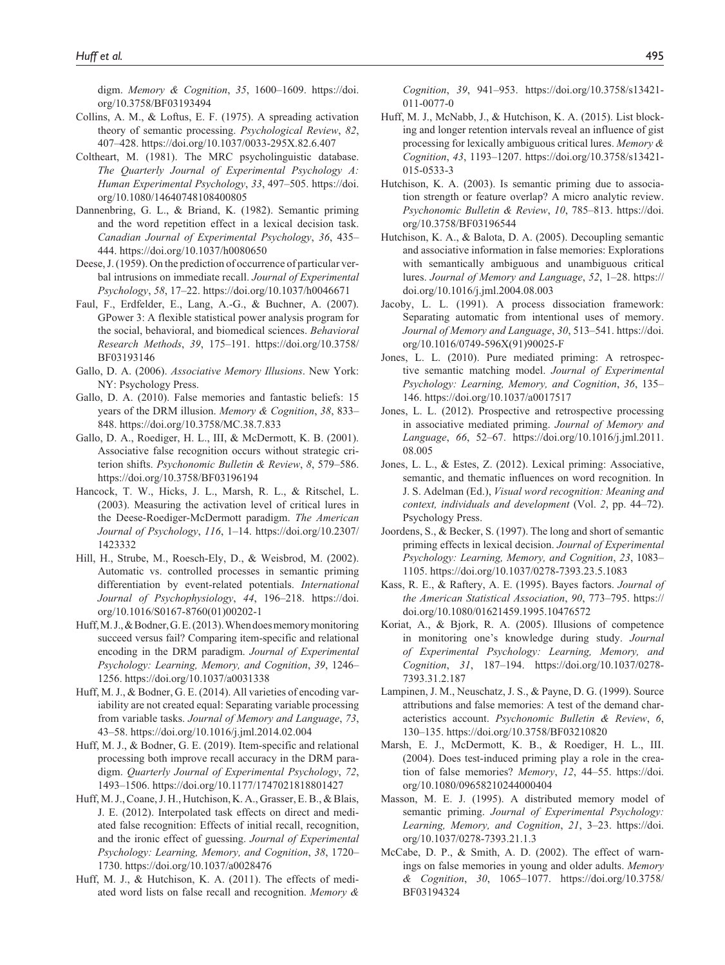digm. *Memory & Cognition*, *35*, 1600–1609. [https://doi.](https://doi.org/10.3758/BF03193494) [org/10.3758/BF03193494](https://doi.org/10.3758/BF03193494)

- Collins, A. M., & Loftus, E. F. (1975). A spreading activation theory of semantic processing. *Psychological Review*, *82*, 407–428.<https://doi.org/10.1037/0033-295X.82.6.407>
- Coltheart, M. (1981). The MRC psycholinguistic database. *The Quarterly Journal of Experimental Psychology A: Human Experimental Psychology*, *33*, 497–505. [https://doi.](https://doi.org/10.1080/14640748108400805) [org/10.1080/14640748108400805](https://doi.org/10.1080/14640748108400805)
- Dannenbring, G. L., & Briand, K. (1982). Semantic priming and the word repetition effect in a lexical decision task. *Canadian Journal of Experimental Psychology*, *36*, 435– 444.<https://doi.org/10.1037/h0080650>
- Deese, J. (1959). On the prediction of occurrence of particular verbal intrusions on immediate recall. *Journal of Experimental Psychology*, *58*, 17–22. <https://doi.org/10.1037/h0046671>
- Faul, F., Erdfelder, E., Lang, A.-G., & Buchner, A. (2007). GPower 3: A flexible statistical power analysis program for the social, behavioral, and biomedical sciences. *Behavioral Research Methods*, *39*, 175–191. [https://doi.org/10.3758/](https://doi.org/10.3758/BF03193146) [BF03193146](https://doi.org/10.3758/BF03193146)
- Gallo, D. A. (2006). *Associative Memory Illusions*. New York: NY: Psychology Press.
- Gallo, D. A. (2010). False memories and fantastic beliefs: 15 years of the DRM illusion. *Memory & Cognition*, *38*, 833– 848.<https://doi.org/10.3758/MC.38.7.833>
- Gallo, D. A., Roediger, H. L., III, & McDermott, K. B. (2001). Associative false recognition occurs without strategic criterion shifts. *Psychonomic Bulletin & Review*, *8*, 579–586. <https://doi.org/10.3758/BF03196194>
- Hancock, T. W., Hicks, J. L., Marsh, R. L., & Ritschel, L. (2003). Measuring the activation level of critical lures in the Deese-Roediger-McDermott paradigm. *The American Journal of Psychology*, *116*, 1–14. [https://doi.org/10.2307/](https://doi.org/10.2307/1423332) [1423332](https://doi.org/10.2307/1423332)
- Hill, H., Strube, M., Roesch-Ely, D., & Weisbrod, M. (2002). Automatic vs. controlled processes in semantic priming differentiation by event-related potentials. *International Journal of Psychophysiology*, *44*, 196–218. [https://doi.](https://doi.org/10.1016/S0167-8760(01)00202-1) [org/10.1016/S0167-8760\(01\)00202-1](https://doi.org/10.1016/S0167-8760(01)00202-1)
- Huff, M. J., & Bodner, G. E. (2013). When does memory monitoring succeed versus fail? Comparing item-specific and relational encoding in the DRM paradigm. *Journal of Experimental Psychology: Learning, Memory, and Cognition*, *39*, 1246– 1256. <https://doi.org/10.1037/a0031338>
- Huff, M. J., & Bodner, G. E. (2014). All varieties of encoding variability are not created equal: Separating variable processing from variable tasks. *Journal of Memory and Language*, *73*, 43–58.<https://doi.org/10.1016/j.jml.2014.02.004>
- Huff, M. J., & Bodner, G. E. (2019). Item-specific and relational processing both improve recall accuracy in the DRM paradigm. *Quarterly Journal of Experimental Psychology*, *72*, 1493–1506.<https://doi.org/10.1177/1747021818801427>
- Huff, M. J., Coane, J. H., Hutchison, K. A., Grasser, E. B., & Blais, J. E. (2012). Interpolated task effects on direct and mediated false recognition: Effects of initial recall, recognition, and the ironic effect of guessing. *Journal of Experimental Psychology: Learning, Memory, and Cognition*, *38*, 1720– 1730. <https://doi.org/10.1037/a0028476>
- Huff, M. J., & Hutchison, K. A. (2011). The effects of mediated word lists on false recall and recognition. *Memory &*

*Cognition*, *39*, 941–953. [https://doi.org/10.3758/s13421-](https://doi.org/10.3758/s13421-011-0077-0) [011-0077-0](https://doi.org/10.3758/s13421-011-0077-0)

- Huff, M. J., McNabb, J., & Hutchison, K. A. (2015). List blocking and longer retention intervals reveal an influence of gist processing for lexically ambiguous critical lures. *Memory & Cognition*, *43*, 1193–1207. [https://doi.org/10.3758/s13421-](https://doi.org/10.3758/s13421-015-0533-3) [015-0533-3](https://doi.org/10.3758/s13421-015-0533-3)
- Hutchison, K. A. (2003). Is semantic priming due to association strength or feature overlap? A micro analytic review. *Psychonomic Bulletin & Review*, *10*, 785–813. [https://doi.](https://doi.org/10.3758/BF03196544) [org/10.3758/BF03196544](https://doi.org/10.3758/BF03196544)
- Hutchison, K. A., & Balota, D. A. (2005). Decoupling semantic and associative information in false memories: Explorations with semantically ambiguous and unambiguous critical lures. *Journal of Memory and Language*, *52*, 1–28. https:// doi.org/10.1016/j.jml.2004.08.003
- Jacoby, L. L. (1991). A process dissociation framework: Separating automatic from intentional uses of memory. *Journal of Memory and Language*, *30*, 513–541. [https://doi.](https://doi.org/10.1016/0749-596X(91)90025-F) [org/10.1016/0749-596X\(91\)90025-F](https://doi.org/10.1016/0749-596X(91)90025-F)
- Jones, L. L. (2010). Pure mediated priming: A retrospective semantic matching model. *Journal of Experimental Psychology: Learning, Memory, and Cognition*, *36*, 135– 146.<https://doi.org/10.1037/a0017517>
- Jones, L. L. (2012). Prospective and retrospective processing in associative mediated priming. *Journal of Memory and Language*, *66*, 52–67. [https://doi.org/10.1016/j.jml.2011.](https://doi.org/10.1016/j.jml.2011.08.005) [08.005](https://doi.org/10.1016/j.jml.2011.08.005)
- Jones, L. L., & Estes, Z. (2012). Lexical priming: Associative, semantic, and thematic influences on word recognition. In J. S. Adelman (Ed.), *Visual word recognition: Meaning and context, individuals and development* (Vol. *2*, pp. 44–72). Psychology Press.
- Joordens, S., & Becker, S. (1997). The long and short of semantic priming effects in lexical decision. *Journal of Experimental Psychology: Learning, Memory, and Cognition*, *23*, 1083– 1105. <https://doi.org/10.1037/0278-7393.23.5.1083>
- Kass, R. E., & Raftery, A. E. (1995). Bayes factors. *Journal of the American Statistical Association*, *90*, 773–795. [https://](https://doi.org/10.1080/01621459.1995.10476572) [doi.org/10.1080/01621459.1995.10476572](https://doi.org/10.1080/01621459.1995.10476572)
- Koriat, A., & Bjork, R. A. (2005). Illusions of competence in monitoring one's knowledge during study. *Journal of Experimental Psychology: Learning, Memory, and Cognition*, *31*, 187–194. [https://doi.org/10.1037/0278-](https://doi.org/10.1037/0278-7393.31.2.187) [7393.31.2.187](https://doi.org/10.1037/0278-7393.31.2.187)
- Lampinen, J. M., Neuschatz, J. S., & Payne, D. G. (1999). Source attributions and false memories: A test of the demand characteristics account. *Psychonomic Bulletin & Review*, *6*, 130–135.<https://doi.org/10.3758/BF03210820>
- Marsh, E. J., McDermott, K. B., & Roediger, H. L., III. (2004). Does test-induced priming play a role in the creation of false memories? *Memory*, *12*, 44–55. [https://doi.](https://doi.org/10.1080/09658210244000404) [org/10.1080/09658210244000404](https://doi.org/10.1080/09658210244000404)
- Masson, M. E. J. (1995). A distributed memory model of semantic priming. *Journal of Experimental Psychology: Learning, Memory, and Cognition*, *21*, 3–23. [https://doi.](https://doi.org/10.1037/0278-7393.21.1.3) [org/10.1037/0278-7393.21.1.3](https://doi.org/10.1037/0278-7393.21.1.3)
- McCabe, D. P., & Smith, A. D. (2002). The effect of warnings on false memories in young and older adults. *Memory & Cognition*, *30*, 1065–1077. [https://doi.org/10.3758/](https://doi.org/10.3758/BF03194324) [BF03194324](https://doi.org/10.3758/BF03194324)